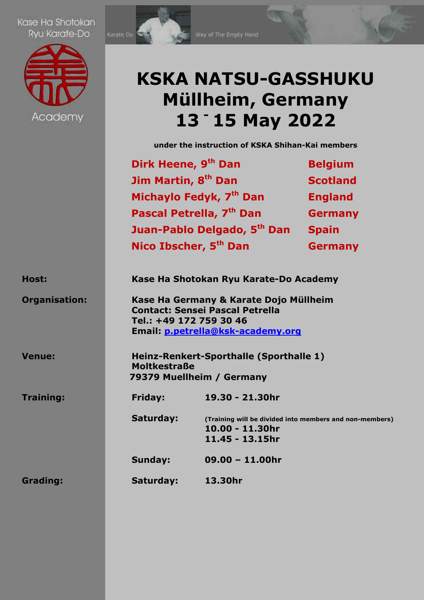Kase Ha Shotokan Ryu Karate-Do





## **KSKA NATSU-GASSHUKU Müllheim, Germany 13 - 15 May 2022**

**under the instruction of KSKA Shihan-Kai members** 

|                      | Dirk Heene, 9 <sup>th</sup> Dan                                                                                                                  |                                        | <b>Belgium</b>                                          |
|----------------------|--------------------------------------------------------------------------------------------------------------------------------------------------|----------------------------------------|---------------------------------------------------------|
|                      | Jim Martin, 8 <sup>th</sup> Dan                                                                                                                  |                                        | <b>Scotland</b>                                         |
|                      |                                                                                                                                                  | Michaylo Fedyk, 7 <sup>th</sup> Dan    | <b>England</b>                                          |
|                      |                                                                                                                                                  | Pascal Petrella, 7 <sup>th</sup> Dan   | <b>Germany</b>                                          |
|                      |                                                                                                                                                  | Juan-Pablo Delgado, 5th Dan            | <b>Spain</b>                                            |
|                      | Nico Ibscher, 5 <sup>th</sup> Dan                                                                                                                |                                        | <b>Germany</b>                                          |
| Host:                |                                                                                                                                                  | Kase Ha Shotokan Ryu Karate-Do Academy |                                                         |
| <b>Organisation:</b> | Kase Ha Germany & Karate Dojo Müllheim<br><b>Contact: Sensei Pascal Petrella</b><br>Tel.: +49 172 759 30 46<br>Email: p.petrella@ksk-academy.org |                                        |                                                         |
| <b>Venue:</b>        | Heinz-Renkert-Sporthalle (Sporthalle 1)<br><b>Moltkestraße</b><br>79379 Muellheim / Germany                                                      |                                        |                                                         |
| Training:            | Friday:                                                                                                                                          | 19.30 - 21.30hr                        |                                                         |
|                      | Saturday:                                                                                                                                        | 10.00 - 11.30hr<br>11.45 - 13.15hr     | (Training will be divided into members and non-members) |
|                      | <b>Sunday:</b>                                                                                                                                   | $09.00 - 11.00$ hr                     |                                                         |
| <b>Grading:</b>      | <b>Saturday:</b>                                                                                                                                 | 13.30hr                                |                                                         |
|                      |                                                                                                                                                  |                                        |                                                         |